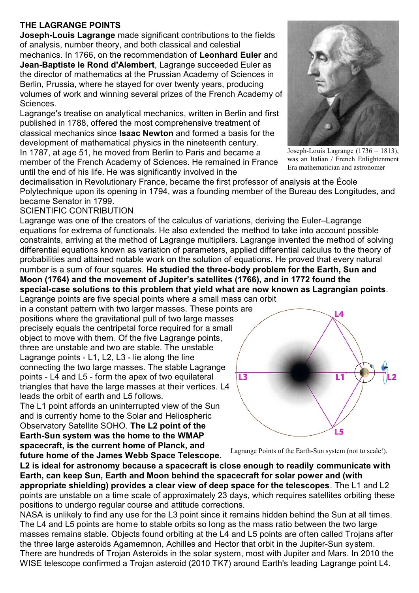## **THE LAGRANGE POINTS**

**Joseph-Louis Lagrange** made significant contributions to the fields of analysis, number theory, and both classical and celestial mechanics. In 1766, on the recommendation of **Leonhard Euler** and **Jean-Baptiste le Rond d'Alembert**, Lagrange succeeded Euler as the director of mathematics at the Prussian Academy of Sciences in Berlin, Prussia, where he stayed for over twenty years, producing volumes of work and winning several prizes of the French Academy of Sciences.

Lagrange's treatise on analytical mechanics, written in Berlin and first published in 1788, offered the most comprehensive treatment of classical mechanics since **Isaac Newton** and formed a basis for the development of mathematical physics in the nineteenth century. In 1787, at age 51, he moved from Berlin to Paris and became a

member of the French Academy of Sciences. He remained in France until the end of his life. He was significantly involved in the



Joseph-Louis Lagrange (1736 – 1813), was an Italian / French Enlightenment Era mathematician and astronomer

decimalisation in Revolutionary France, became the first professor of analysis at the École Polytechnique upon its opening in 1794, was a founding member of the Bureau des Longitudes, and became Senator in 1799.

## SCIENTIFIC CONTRIBUTION

Lagrange was one of the creators of the calculus of variations, deriving the Euler–Lagrange equations for extrema of functionals. He also extended the method to take into account possible constraints, arriving at the method of Lagrange multipliers. Lagrange invented the method of solving differential equations known as variation of parameters, applied differential calculus to the theory of probabilities and attained notable work on the solution of equations. He proved that every natural number is a sum of four squares. **He studied the three-body problem for the Earth, Sun and Moon (1764) and the movement of Jupiter's satellites (1766), and in 1772 found the special-case solutions to this problem that yield what are now known as Lagrangian points**.

Lagrange points are five special points where a small mass can orbit in a constant pattern with two larger masses. These points are positions where the gravitational pull of two large masses precisely equals the centripetal force required for a small object to move with them. Of the five Lagrange points, three are unstable and two are stable. The unstable Lagrange points - L1, L2, L3 - lie along the line connecting the two large masses. The stable Lagrange points - L4 and L5 - form the apex of two equilateral triangles that have the large masses at their vertices. L4 leads the orbit of earth and L5 follows.

The L1 point affords an uninterrupted view of the Sun and is currently home to the Solar and Heliospheric Observatory Satellite SOHO. **The L2 point of the Earth-Sun system was the home to the WMAP spacecraft, is the current home of Planck, and future home of the James Webb Space Telescope.**



Lagrange Points of the Earth-Sun system (not to scale!).

**L2 is ideal for astronomy because a spacecraft is close enough to readily communicate with Earth, can keep Sun, Earth and Moon behind the spacecraft for solar power and (with appropriate shielding) provides a clear view of deep space for the telescopes**. The L1 and L2 points are unstable on a time scale of approximately 23 days, which requires satellites orbiting these positions to undergo regular course and attitude corrections.

NASA is unlikely to find any use for the L3 point since it remains hidden behind the Sun at all times. The L4 and L5 points are home to stable orbits so long as the mass ratio between the two large masses remains stable. Objects found orbiting at the L4 and L5 points are often called Trojans after the three large asteroids Agamemnon, Achilles and Hector that orbit in the Jupiter-Sun system. There are hundreds of Trojan Asteroids in the solar system, most with Jupiter and Mars. In 2010 the WISE telescope confirmed a Trojan asteroid (2010 TK7) around Earth's leading Lagrange point L4.